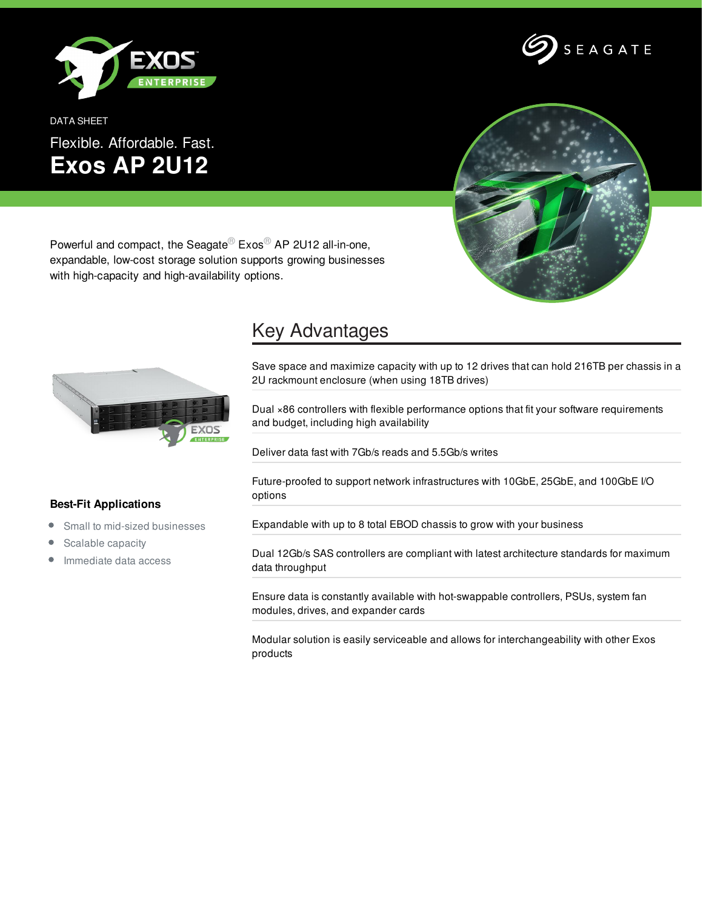

DATA SHEET Flexible. Affordable. Fast. **Exos AP 2U12**



SEAGATE

Powerful and compact, the Seagate<sup>®</sup> Exos<sup>®</sup> AP 2U12 all-in-one, expandable, low-cost storage solution supports growing businesses with high-capacity and high-availability options.



## Key Advantages

Save space and maximize capacity with up to 12 drives that can hold 216TB per chassis in a 2U rackmount enclosure (when using 18TB drives)

Dual ×86 controllers with flexible performance options that fit your software requirements and budget, including high availability

Deliver data fast with 7Gb/s reads and 5.5Gb/s writes

Future-proofed to support network infrastructures with 10GbE, 25GbE, and 100GbE I/O options

Expandable with up to 8 total EBOD chassis to grow with your business

Dual 12Gb/s SAS controllers are compliant with latest architecture standards for maximum data throughput

Ensure data is constantly available with hot-swappable controllers, PSUs, system fan modules, drives, and expander cards

Modular solution is easily serviceable and allows for interchangeability with other Exos products

## **Best-Fit Applications**

- $\bullet$ Small to mid-sized businesses
- Scalable capacity  $\bullet$
- Immediate data access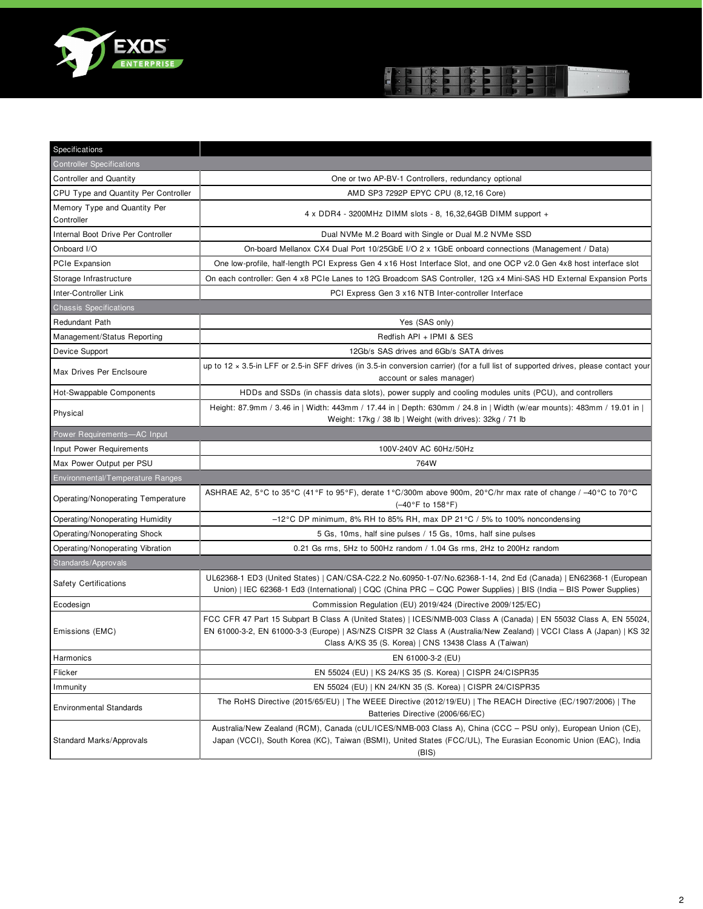



| Specifications                             |                                                                                                                                                                                                                                                                                                     |
|--------------------------------------------|-----------------------------------------------------------------------------------------------------------------------------------------------------------------------------------------------------------------------------------------------------------------------------------------------------|
| <b>Controller Specifications</b>           |                                                                                                                                                                                                                                                                                                     |
| <b>Controller and Quantity</b>             | One or two AP-BV-1 Controllers, redundancy optional                                                                                                                                                                                                                                                 |
| CPU Type and Quantity Per Controller       | AMD SP3 7292P EPYC CPU (8,12,16 Core)                                                                                                                                                                                                                                                               |
| Memory Type and Quantity Per<br>Controller | 4 x DDR4 - 3200MHz DIMM slots - 8, 16,32,64GB DIMM support +                                                                                                                                                                                                                                        |
| Internal Boot Drive Per Controller         | Dual NVMe M.2 Board with Single or Dual M.2 NVMe SSD                                                                                                                                                                                                                                                |
| Onboard I/O                                | On-board Mellanox CX4 Dual Port 10/25GbE I/O 2 x 1GbE onboard connections (Management / Data)                                                                                                                                                                                                       |
| PCIe Expansion                             | One low-profile, half-length PCI Express Gen 4 x16 Host Interface Slot, and one OCP v2.0 Gen 4x8 host interface slot                                                                                                                                                                                |
| Storage Infrastructure                     | On each controller: Gen 4 x8 PCIe Lanes to 12G Broadcom SAS Controller, 12G x4 Mini-SAS HD External Expansion Ports                                                                                                                                                                                 |
| Inter-Controller Link                      | PCI Express Gen 3 x16 NTB Inter-controller Interface                                                                                                                                                                                                                                                |
| <b>Chassis Specifications</b>              |                                                                                                                                                                                                                                                                                                     |
| Redundant Path                             | Yes (SAS only)                                                                                                                                                                                                                                                                                      |
| Management/Status Reporting                | Redfish API + IPMI & SES                                                                                                                                                                                                                                                                            |
| Device Support                             | 12Gb/s SAS drives and 6Gb/s SATA drives                                                                                                                                                                                                                                                             |
| Max Drives Per Enclsoure                   | up to 12 x 3.5-in LFF or 2.5-in SFF drives (in 3.5-in conversion carrier) (for a full list of supported drives, please contact your<br>account or sales manager)                                                                                                                                    |
| Hot-Swappable Components                   | HDDs and SSDs (in chassis data slots), power supply and cooling modules units (PCU), and controllers                                                                                                                                                                                                |
| Physical                                   | Height: 87.9mm / 3.46 in   Width: 443mm / 17.44 in   Depth: 630mm / 24.8 in   Width (w/ear mounts): 483mm / 19.01 in  <br>Weight: 17kg / 38 lb   Weight (with drives): 32kg / 71 lb                                                                                                                 |
| Power Requirements-AC Input                |                                                                                                                                                                                                                                                                                                     |
| Input Power Requirements                   | 100V-240V AC 60Hz/50Hz                                                                                                                                                                                                                                                                              |
| Max Power Output per PSU                   | 764W                                                                                                                                                                                                                                                                                                |
| Environmental/Temperature Ranges           |                                                                                                                                                                                                                                                                                                     |
| Operating/Nonoperating Temperature         | ASHRAE A2, 5°C to 35°C (41°F to 95°F), derate 1°C/300m above 900m, 20°C/hr max rate of change / -40°C to 70°C<br>$(-40^{\circ}F to 158^{\circ}F)$                                                                                                                                                   |
| Operating/Nonoperating Humidity            | $-12^{\circ}$ C DP minimum, 8% RH to 85% RH, max DP 21 $^{\circ}$ C / 5% to 100% noncondensing                                                                                                                                                                                                      |
| Operating/Nonoperating Shock               | 5 Gs, 10ms, half sine pulses / 15 Gs, 10ms, half sine pulses                                                                                                                                                                                                                                        |
| Operating/Nonoperating Vibration           | 0.21 Gs rms, 5Hz to 500Hz random $/$ 1.04 Gs rms, 2Hz to 200Hz random                                                                                                                                                                                                                               |
| Standards/Approvals                        |                                                                                                                                                                                                                                                                                                     |
| <b>Safety Certifications</b>               | UL62368-1 ED3 (United States)   CAN/CSA-C22.2 No.60950-1-07/No.62368-1-14, 2nd Ed (Canada)   EN62368-1 (European<br>Union)   IEC 62368-1 Ed3 (International)   CQC (China PRC – CQC Power Supplies)   BIS (India – BIS Power Supplies)                                                              |
| Ecodesign                                  | Commission Regulation (EU) 2019/424 (Directive 2009/125/EC)                                                                                                                                                                                                                                         |
| Emissions (EMC)                            | FCC CFR 47 Part 15 Subpart B Class A (United States)   ICES/NMB-003 Class A (Canada)   EN 55032 Class A, EN 55024,<br>EN 61000-3-2, EN 61000-3-3 (Europe)   AS/NZS CISPR 32 Class A (Australia/New Zealand)   VCCI Class A (Japan)   KS 32<br>Class A/KS 35 (S. Korea)   CNS 13438 Class A (Taiwan) |
| Harmonics                                  | EN 61000-3-2 (EU)                                                                                                                                                                                                                                                                                   |
| Flicker                                    | EN 55024 (EU)   KS 24/KS 35 (S. Korea)   CISPR 24/CISPR35                                                                                                                                                                                                                                           |
| Immunity                                   | EN 55024 (EU)   KN 24/KN 35 (S. Korea)   CISPR 24/CISPR35                                                                                                                                                                                                                                           |
| <b>Environmental Standards</b>             | The RoHS Directive (2015/65/EU)   The WEEE Directive (2012/19/EU)   The REACH Directive (EC/1907/2006)   The<br>Batteries Directive (2006/66/EC)                                                                                                                                                    |
| Standard Marks/Approvals                   | Australia/New Zealand (RCM), Canada (cUL/ICES/NMB-003 Class A), China (CCC - PSU only), European Union (CE),<br>Japan (VCCI), South Korea (KC), Taiwan (BSMI), United States (FCC/UL), The Eurasian Economic Union (EAC), India<br>(BIS)                                                            |